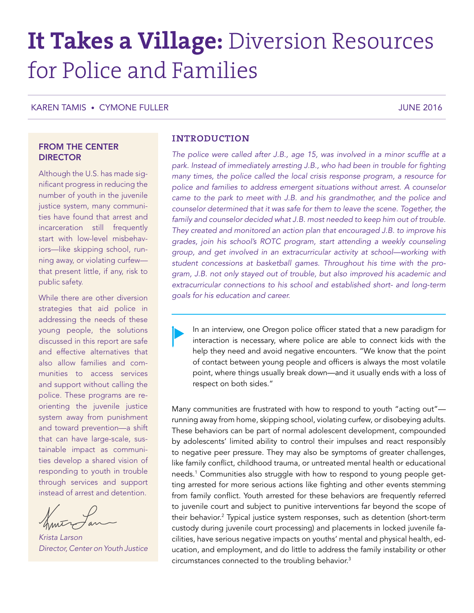# **It Takes a Village:** Diversion Resources for Police and Families

KAREN TAMIS • CYMONE FULLER JUNE 2016

# FROM THE CENTER **DIRECTOR**

Although the U.S. has made significant progress in reducing the number of youth in the juvenile justice system, many communities have found that arrest and incarceration still frequently start with low-level misbehaviors—like skipping school, running away, or violating curfew that present little, if any, risk to public safety.

While there are other diversion strategies that aid police in addressing the needs of these young people, the solutions discussed in this report are safe and effective alternatives that also allow families and communities to access services and support without calling the police. These programs are reorienting the juvenile justice system away from punishment and toward prevention—a shift that can have large-scale, sustainable impact as communities develop a shared vision of responding to youth in trouble through services and support instead of arrest and detention.

*Krista Larson Director, Center on Youth Justice*

# **INTRODUCTION**

*The police were called after J.B., age 15, was involved in a minor scuffle at a*  park. Instead of immediately arresting J.B., who had been in trouble for fighting *many times, the police called the local crisis response program, a resource for police and families to address emergent situations without arrest. A counselor*  came to the park to meet with J.B. and his grandmother, and the police and *counselor determined that it was safe for them to leave the scene. Together, the*  family and counselor decided what J.B. most needed to keep him out of trouble. *They created and monitored an action plan that encouraged J.B. to improve his grades, join his school's ROTC program, start attending a weekly counseling group, and get involved in an extracurricular activity at school—working with student concessions at basketball games. Throughout his time with the program, J.B. not only stayed out of trouble, but also improved his academic and extracurricular connections to his school and established short- and long-term goals for his education and career.*

In an interview, one Oregon police officer stated that a new paradigm for interaction is necessary, where police are able to connect kids with the help they need and avoid negative encounters. "We know that the point of contact between young people and officers is always the most volatile point, where things usually break down—and it usually ends with a loss of respect on both sides."

Many communities are frustrated with how to respond to youth "acting out" running away from home, skipping school, violating curfew, or disobeying adults. These behaviors can be part of normal adolescent development, compounded by adolescents' limited ability to control their impulses and react responsibly to negative peer pressure. They may also be symptoms of greater challenges, like family conflict, childhood trauma, or untreated mental health or educational needs.1 Communities also struggle with how to respond to young people getting arrested for more serious actions like fighting and other events stemming from family conflict. Youth arrested for these behaviors are frequently referred to juvenile court and subject to punitive interventions far beyond the scope of their behavior.2 Typical justice system responses, such as detention (short-term custody during juvenile court processing) and placements in locked juvenile facilities, have serious negative impacts on youths' mental and physical health, education, and employment, and do little to address the family instability or other circumstances connected to the troubling behavior.3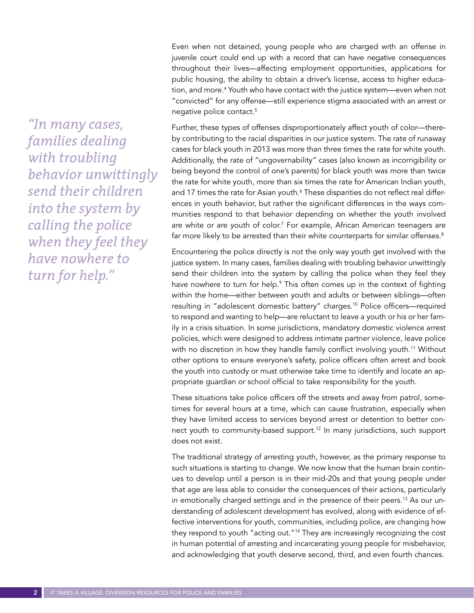*"In many cases, families dealing with troubling behavior unwittingly send their children into the system by calling the police when they feel they have nowhere to turn for help."*

Even when not detained, young people who are charged with an offense in juvenile court could end up with a record that can have negative consequences throughout their lives—affecting employment opportunities, applications for public housing, the ability to obtain a driver's license, access to higher education, and more.4 Youth who have contact with the justice system—even when not "convicted" for any offense—still experience stigma associated with an arrest or negative police contact.<sup>5</sup>

Further, these types of offenses disproportionately affect youth of color—thereby contributing to the racial disparities in our justice system. The rate of runaway cases for black youth in 2013 was more than three times the rate for white youth. Additionally, the rate of "ungovernability" cases (also known as incorrigibility or being beyond the control of one's parents) for black youth was more than twice the rate for white youth, more than six times the rate for American Indian youth, and 17 times the rate for Asian youth.<sup>6</sup> These disparities do not reflect real differences in youth behavior, but rather the significant differences in the ways communities respond to that behavior depending on whether the youth involved are white or are youth of color.<sup>7</sup> For example, African American teenagers are far more likely to be arrested than their white counterparts for similar offenses.<sup>8</sup>

Encountering the police directly is not the only way youth get involved with the justice system. In many cases, families dealing with troubling behavior unwittingly send their children into the system by calling the police when they feel they have nowhere to turn for help.<sup>9</sup> This often comes up in the context of fighting within the home—either between youth and adults or between siblings—often resulting in "adolescent domestic battery" charges.10 Police officers—required to respond and wanting to help—are reluctant to leave a youth or his or her family in a crisis situation. In some jurisdictions, mandatory domestic violence arrest policies, which were designed to address intimate partner violence, leave police with no discretion in how they handle family conflict involving youth.<sup>11</sup> Without other options to ensure everyone's safety, police officers often arrest and book the youth into custody or must otherwise take time to identify and locate an appropriate guardian or school official to take responsibility for the youth.

These situations take police officers off the streets and away from patrol, sometimes for several hours at a time, which can cause frustration, especially when they have limited access to services beyond arrest or detention to better connect youth to community-based support.12 In many jurisdictions, such support does not exist.

The traditional strategy of arresting youth, however, as the primary response to such situations is starting to change. We now know that the human brain continues to develop until a person is in their mid-20s and that young people under that age are less able to consider the consequences of their actions, particularly in emotionally charged settings and in the presence of their peers.<sup>13</sup> As our understanding of adolescent development has evolved, along with evidence of effective interventions for youth, communities, including police, are changing how they respond to youth "acting out."14 They are increasingly recognizing the cost in human potential of arresting and incarcerating young people for misbehavior, and acknowledging that youth deserve second, third, and even fourth chances.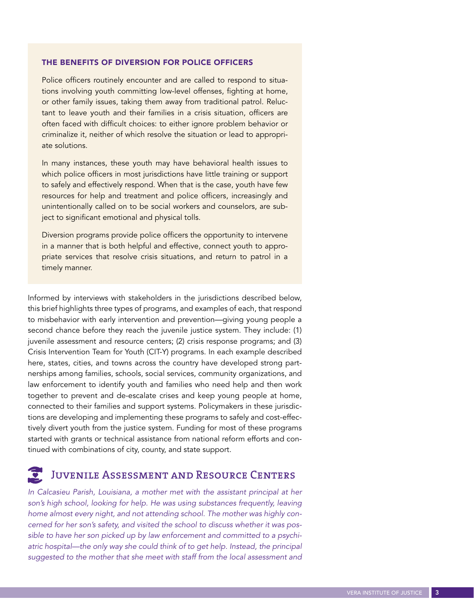#### THE BENEFITS OF DIVERSION FOR POLICE OFFICERS

Police officers routinely encounter and are called to respond to situations involving youth committing low-level offenses, fighting at home, or other family issues, taking them away from traditional patrol. Reluctant to leave youth and their families in a crisis situation, officers are often faced with difficult choices: to either ignore problem behavior or criminalize it, neither of which resolve the situation or lead to appropriate solutions.

In many instances, these youth may have behavioral health issues to which police officers in most jurisdictions have little training or support to safely and effectively respond. When that is the case, youth have few resources for help and treatment and police officers, increasingly and unintentionally called on to be social workers and counselors, are subject to significant emotional and physical tolls.

Diversion programs provide police officers the opportunity to intervene in a manner that is both helpful and effective, connect youth to appropriate services that resolve crisis situations, and return to patrol in a timely manner.

Informed by interviews with stakeholders in the jurisdictions described below, this brief highlights three types of programs, and examples of each, that respond to misbehavior with early intervention and prevention—giving young people a second chance before they reach the juvenile justice system. They include: (1) juvenile assessment and resource centers; (2) crisis response programs; and (3) Crisis Intervention Team for Youth (CIT-Y) programs. In each example described here, states, cities, and towns across the country have developed strong partnerships among families, schools, social services, community organizations, and law enforcement to identify youth and families who need help and then work together to prevent and de-escalate crises and keep young people at home, connected to their families and support systems. Policymakers in these jurisdictions are developing and implementing these programs to safely and cost-effectively divert youth from the justice system. Funding for most of these programs started with grants or technical assistance from national reform efforts and continued with combinations of city, county, and state support.

# Juvenile Assessment and Resource Centers

*In Calcasieu Parish, Louisiana, a mother met with the assistant principal at her*  son's high school, looking for help. He was using substances frequently, leaving *home almost every night, and not attending school. The mother was highly concerned for her son's safety, and visited the school to discuss whether it was possible to have her son picked up by law enforcement and committed to a psychiatric hospital—the only way she could think of to get help. Instead, the principal*  suggested to the mother that she meet with staff from the local assessment and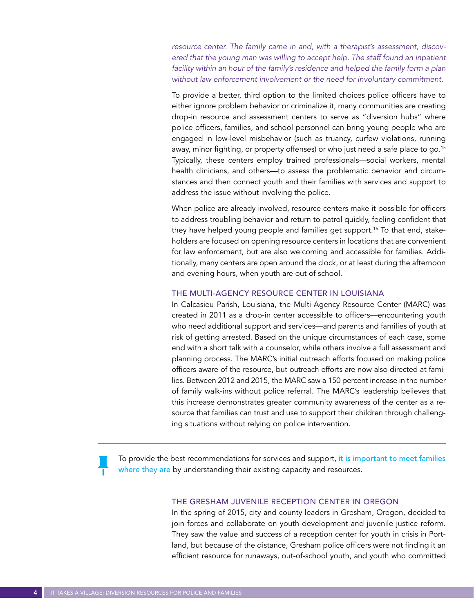*resource center. The family came in and, with a therapist's assessment, discovered that the young man was willing to accept help. The staff found an inpatient*  facility within an hour of the family's residence and helped the family form a plan *without law enforcement involvement or the need for involuntary commitment.*

To provide a better, third option to the limited choices police officers have to either ignore problem behavior or criminalize it, many communities are creating drop-in resource and assessment centers to serve as "diversion hubs" where police officers, families, and school personnel can bring young people who are engaged in low-level misbehavior (such as truancy, curfew violations, running away, minor fighting, or property offenses) or who just need a safe place to go.15 Typically, these centers employ trained professionals—social workers, mental health clinicians, and others—to assess the problematic behavior and circumstances and then connect youth and their families with services and support to address the issue without involving the police.

When police are already involved, resource centers make it possible for officers to address troubling behavior and return to patrol quickly, feeling confident that they have helped young people and families get support.<sup>16</sup> To that end, stakeholders are focused on opening resource centers in locations that are convenient for law enforcement, but are also welcoming and accessible for families. Additionally, many centers are open around the clock, or at least during the afternoon and evening hours, when youth are out of school.

## THE MULTI-AGENCY RESOURCE CENTER IN LOUISIANA

In Calcasieu Parish, Louisiana, the Multi-Agency Resource Center (MARC) was created in 2011 as a drop-in center accessible to officers—encountering youth who need additional support and services—and parents and families of youth at risk of getting arrested. Based on the unique circumstances of each case, some end with a short talk with a counselor, while others involve a full assessment and planning process. The MARC's initial outreach efforts focused on making police officers aware of the resource, but outreach efforts are now also directed at families. Between 2012 and 2015, the MARC saw a 150 percent increase in the number of family walk-ins without police referral. The MARC's leadership believes that this increase demonstrates greater community awareness of the center as a resource that families can trust and use to support their children through challenging situations without relying on police intervention.

To provide the best recommendations for services and support, it is important to meet families where they are by understanding their existing capacity and resources.

#### THE GRESHAM JUVENILE RECEPTION CENTER IN OREGON

In the spring of 2015, city and county leaders in Gresham, Oregon, decided to join forces and collaborate on youth development and juvenile justice reform. They saw the value and success of a reception center for youth in crisis in Portland, but because of the distance, Gresham police officers were not finding it an efficient resource for runaways, out-of-school youth, and youth who committed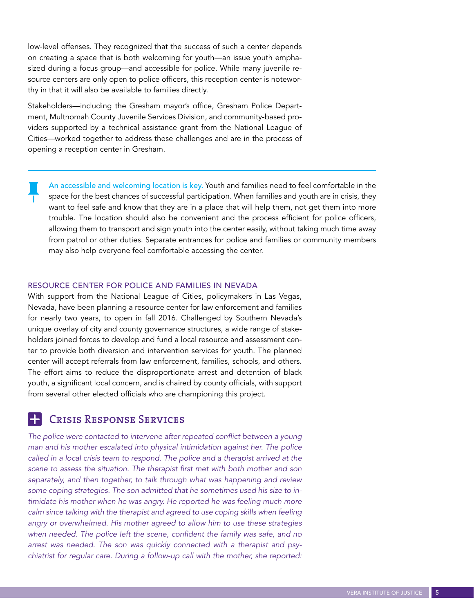low-level offenses. They recognized that the success of such a center depends on creating a space that is both welcoming for youth—an issue youth emphasized during a focus group—and accessible for police. While many juvenile resource centers are only open to police officers, this reception center is noteworthy in that it will also be available to families directly.

Stakeholders—including the Gresham mayor's office, Gresham Police Department, Multnomah County Juvenile Services Division, and community-based providers supported by a technical assistance grant from the National League of Cities—worked together to address these challenges and are in the process of opening a reception center in Gresham.

An accessible and welcoming location is key. Youth and families need to feel comfortable in the space for the best chances of successful participation. When families and youth are in crisis, they want to feel safe and know that they are in a place that will help them, not get them into more trouble. The location should also be convenient and the process efficient for police officers, allowing them to transport and sign youth into the center easily, without taking much time away from patrol or other duties. Separate entrances for police and families or community members may also help everyone feel comfortable accessing the center.

# RESOURCE CENTER FOR POLICE AND FAMILIES IN NEVADA

With support from the National League of Cities, policymakers in Las Vegas, Nevada, have been planning a resource center for law enforcement and families for nearly two years, to open in fall 2016. Challenged by Southern Nevada's unique overlay of city and county governance structures, a wide range of stakeholders joined forces to develop and fund a local resource and assessment center to provide both diversion and intervention services for youth. The planned center will accept referrals from law enforcement, families, schools, and others. The effort aims to reduce the disproportionate arrest and detention of black youth, a significant local concern, and is chaired by county officials, with support from several other elected officials who are championing this project.

# Crisis Response Services

٠

The police were contacted to intervene after repeated conflict between a young *man and his mother escalated into physical intimidation against her. The police called in a local crisis team to respond. The police and a therapist arrived at the scene to assess the situation. The therapist first met with both mother and son separately, and then together, to talk through what was happening and review some coping strategies. The son admitted that he sometimes used his size to in*timidate his mother when he was angry. He reported he was feeling much more *calm since talking with the therapist and agreed to use coping skills when feeling angry or overwhelmed. His mother agreed to allow him to use these strategies*  when needed. The police left the scene, confident the family was safe, and no *arrest was needed. The son was quickly connected with a therapist and psychiatrist for regular care. During a follow-up call with the mother, she reported:*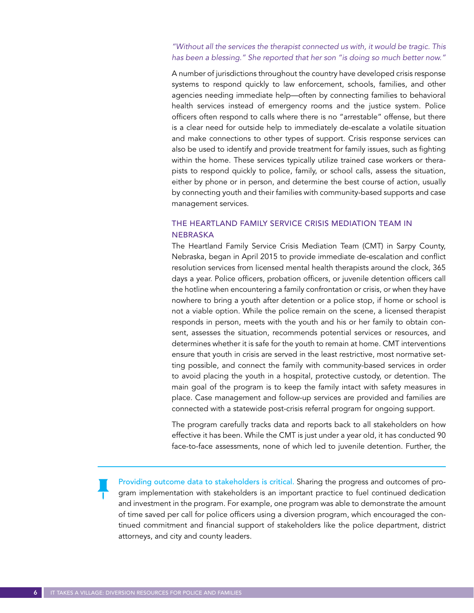# *"Without all the services the therapist connected us with, it would be tragic. This has been a blessing." She reported that her son "is doing so much better now."*

A number of jurisdictions throughout the country have developed crisis response systems to respond quickly to law enforcement, schools, families, and other agencies needing immediate help—often by connecting families to behavioral health services instead of emergency rooms and the justice system. Police officers often respond to calls where there is no "arrestable" offense, but there is a clear need for outside help to immediately de-escalate a volatile situation and make connections to other types of support. Crisis response services can also be used to identify and provide treatment for family issues, such as fighting within the home. These services typically utilize trained case workers or therapists to respond quickly to police, family, or school calls, assess the situation, either by phone or in person, and determine the best course of action, usually by connecting youth and their families with community-based supports and case management services.

# THE HEARTLAND FAMILY SERVICE CRISIS MEDIATION TEAM IN NEBRASKA

The Heartland Family Service Crisis Mediation Team (CMT) in Sarpy County, Nebraska, began in April 2015 to provide immediate de-escalation and conflict resolution services from licensed mental health therapists around the clock, 365 days a year. Police officers, probation officers, or juvenile detention officers call the hotline when encountering a family confrontation or crisis, or when they have nowhere to bring a youth after detention or a police stop, if home or school is not a viable option. While the police remain on the scene, a licensed therapist responds in person, meets with the youth and his or her family to obtain consent, assesses the situation, recommends potential services or resources, and determines whether it is safe for the youth to remain at home. CMT interventions ensure that youth in crisis are served in the least restrictive, most normative setting possible, and connect the family with community-based services in order to avoid placing the youth in a hospital, protective custody, or detention. The main goal of the program is to keep the family intact with safety measures in place. Case management and follow-up services are provided and families are connected with a statewide post-crisis referral program for ongoing support.

The program carefully tracks data and reports back to all stakeholders on how effective it has been. While the CMT is just under a year old, it has conducted 90 face-to-face assessments, none of which led to juvenile detention. Further, the

Providing outcome data to stakeholders is critical. Sharing the progress and outcomes of program implementation with stakeholders is an important practice to fuel continued dedication and investment in the program. For example, one program was able to demonstrate the amount of time saved per call for police officers using a diversion program, which encouraged the continued commitment and financial support of stakeholders like the police department, district attorneys, and city and county leaders.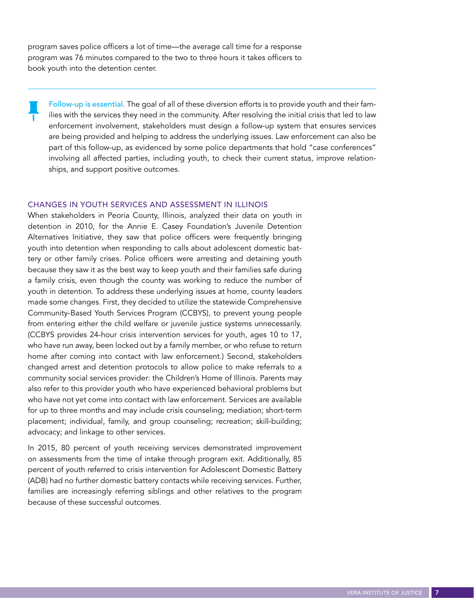program saves police officers a lot of time—the average call time for a response program was 76 minutes compared to the two to three hours it takes officers to book youth into the detention center.

Follow-up is essential. The goal of all of these diversion efforts is to provide youth and their families with the services they need in the community. After resolving the initial crisis that led to law enforcement involvement, stakeholders must design a follow-up system that ensures services are being provided and helping to address the underlying issues. Law enforcement can also be part of this follow-up, as evidenced by some police departments that hold "case conferences" involving all affected parties, including youth, to check their current status, improve relationships, and support positive outcomes.

#### CHANGES IN YOUTH SERVICES AND ASSESSMENT IN ILLINOIS

When stakeholders in Peoria County, Illinois, analyzed their data on youth in detention in 2010, for the Annie E. Casey Foundation's Juvenile Detention Alternatives Initiative, they saw that police officers were frequently bringing youth into detention when responding to calls about adolescent domestic battery or other family crises. Police officers were arresting and detaining youth because they saw it as the best way to keep youth and their families safe during a family crisis, even though the county was working to reduce the number of youth in detention. To address these underlying issues at home, county leaders made some changes. First, they decided to utilize the statewide Comprehensive Community-Based Youth Services Program (CCBYS), to prevent young people from entering either the child welfare or juvenile justice systems unnecessarily. (CCBYS provides 24-hour crisis intervention services for youth, ages 10 to 17, who have run away, been locked out by a family member, or who refuse to return home after coming into contact with law enforcement.) Second, stakeholders changed arrest and detention protocols to allow police to make referrals to a community social services provider: the Children's Home of Illinois. Parents may also refer to this provider youth who have experienced behavioral problems but who have not yet come into contact with law enforcement. Services are available for up to three months and may include crisis counseling; mediation; short-term placement; individual, family, and group counseling; recreation; skill-building; advocacy; and linkage to other services.

In 2015, 80 percent of youth receiving services demonstrated improvement on assessments from the time of intake through program exit. Additionally, 85 percent of youth referred to crisis intervention for Adolescent Domestic Battery (ADB) had no further domestic battery contacts while receiving services. Further, families are increasingly referring siblings and other relatives to the program because of these successful outcomes.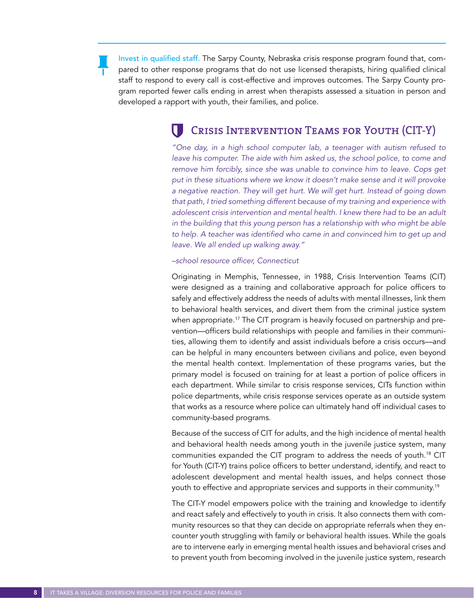Invest in qualified staff. The Sarpy County, Nebraska crisis response program found that, compared to other response programs that do not use licensed therapists, hiring qualified clinical staff to respond to every call is cost-effective and improves outcomes. The Sarpy County program reported fewer calls ending in arrest when therapists assessed a situation in person and developed a rapport with youth, their families, and police.

# Crisis Intervention Teams for Youth (CIT-Y)

*"One day, in a high school computer lab, a teenager with autism refused to leave his computer. The aide with him asked us, the school police, to come and remove him forcibly, since she was unable to convince him to leave. Cops get put in these situations where we know it doesn't make sense and it will provoke*  a negative reaction. They will get hurt. We will get hurt. Instead of going down *that path, I tried something different because of my training and experience with adolescent crisis intervention and mental health. I knew there had to be an adult*  in the building that this young person has a relationship with who might be able to help. A teacher was identified who came in and convinced him to get up and *leave. We all ended up walking away."* 

*–school resource officer, Connecticut*

Originating in Memphis, Tennessee, in 1988, Crisis Intervention Teams (CIT) were designed as a training and collaborative approach for police officers to safely and effectively address the needs of adults with mental illnesses, link them to behavioral health services, and divert them from the criminal justice system when appropriate.<sup>17</sup> The CIT program is heavily focused on partnership and prevention—officers build relationships with people and families in their communities, allowing them to identify and assist individuals before a crisis occurs—and can be helpful in many encounters between civilians and police, even beyond the mental health context. Implementation of these programs varies, but the primary model is focused on training for at least a portion of police officers in each department. While similar to crisis response services, CITs function within police departments, while crisis response services operate as an outside system that works as a resource where police can ultimately hand off individual cases to community-based programs.

Because of the success of CIT for adults, and the high incidence of mental health and behavioral health needs among youth in the juvenile justice system, many communities expanded the CIT program to address the needs of youth.<sup>18</sup> CIT for Youth (CIT-Y) trains police officers to better understand, identify, and react to adolescent development and mental health issues, and helps connect those youth to effective and appropriate services and supports in their community.19

The CIT-Y model empowers police with the training and knowledge to identify and react safely and effectively to youth in crisis. It also connects them with community resources so that they can decide on appropriate referrals when they encounter youth struggling with family or behavioral health issues. While the goals are to intervene early in emerging mental health issues and behavioral crises and to prevent youth from becoming involved in the juvenile justice system, research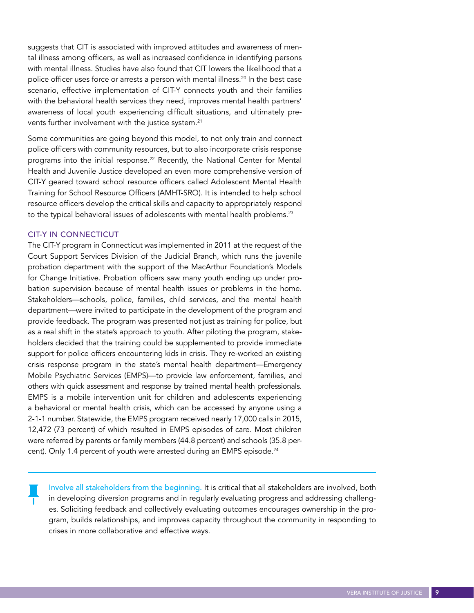suggests that CIT is associated with improved attitudes and awareness of mental illness among officers, as well as increased confidence in identifying persons with mental illness. Studies have also found that CIT lowers the likelihood that a police officer uses force or arrests a person with mental illness.<sup>20</sup> In the best case scenario, effective implementation of CIT-Y connects youth and their families with the behavioral health services they need, improves mental health partners' awareness of local youth experiencing difficult situations, and ultimately prevents further involvement with the justice system.<sup>21</sup>

Some communities are going beyond this model, to not only train and connect police officers with community resources, but to also incorporate crisis response programs into the initial response.<sup>22</sup> Recently, the National Center for Mental Health and Juvenile Justice developed an even more comprehensive version of CIT-Y geared toward school resource officers called Adolescent Mental Health Training for School Resource Officers (AMHT-SRO). It is intended to help school resource officers develop the critical skills and capacity to appropriately respond to the typical behavioral issues of adolescents with mental health problems.<sup>23</sup>

## CIT-Y IN CONNECTICUT

The CIT-Y program in Connecticut was implemented in 2011 at the request of the Court Support Services Division of the Judicial Branch, which runs the juvenile probation department with the support of the MacArthur Foundation's Models for Change Initiative. Probation officers saw many youth ending up under probation supervision because of mental health issues or problems in the home. Stakeholders—schools, police, families, child services, and the mental health department—were invited to participate in the development of the program and provide feedback. The program was presented not just as training for police, but as a real shift in the state's approach to youth. After piloting the program, stakeholders decided that the training could be supplemented to provide immediate support for police officers encountering kids in crisis. They re-worked an existing crisis response program in the state's mental health department—Emergency Mobile Psychiatric Services (EMPS)—to provide law enforcement, families, and others with quick assessment and response by trained mental health professionals. EMPS is a mobile intervention unit for children and adolescents experiencing a behavioral or mental health crisis, which can be accessed by anyone using a 2-1-1 number. Statewide, the EMPS program received nearly 17,000 calls in 2015, 12,472 (73 percent) of which resulted in EMPS episodes of care. Most children were referred by parents or family members (44.8 percent) and schools (35.8 percent). Only 1.4 percent of youth were arrested during an EMPS episode.<sup>24</sup>

Involve all stakeholders from the beginning. It is critical that all stakeholders are involved, both in developing diversion programs and in regularly evaluating progress and addressing challenges. Soliciting feedback and collectively evaluating outcomes encourages ownership in the program, builds relationships, and improves capacity throughout the community in responding to crises in more collaborative and effective ways.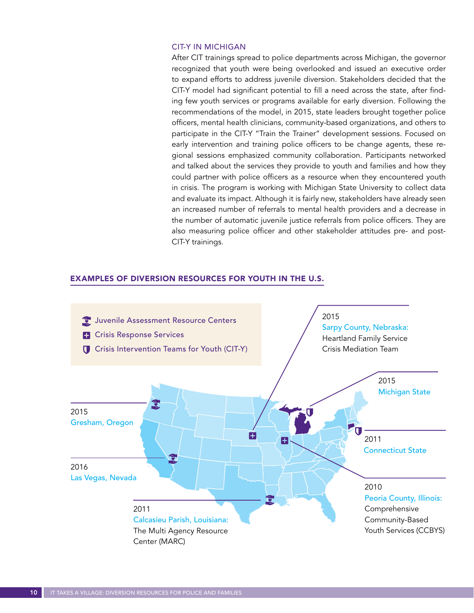## CIT-Y IN MICHIGAN

After CIT trainings spread to police departments across Michigan, the governor recognized that youth were being overlooked and issued an executive order to expand efforts to address juvenile diversion. Stakeholders decided that the CIT-Y model had significant potential to fill a need across the state, after finding few youth services or programs available for early diversion. Following the recommendations of the model, in 2015, state leaders brought together police officers, mental health clinicians, community-based organizations, and others to participate in the CIT-Y "Train the Trainer" development sessions. Focused on early intervention and training police officers to be change agents, these regional sessions emphasized community collaboration. Participants networked and talked about the services they provide to youth and families and how they could partner with police officers as a resource when they encountered youth in crisis. The program is working with Michigan State University to collect data and evaluate its impact. Although it is fairly new, stakeholders have already seen an increased number of referrals to mental health providers and a decrease in the number of automatic juvenile justice referrals from police officers. They are also measuring police officer and other stakeholder attitudes pre- and post-CIT-Y trainings.

## EXAMPLES OF DIVERSION RESOURCES FOR YOUTH IN THE U.S.

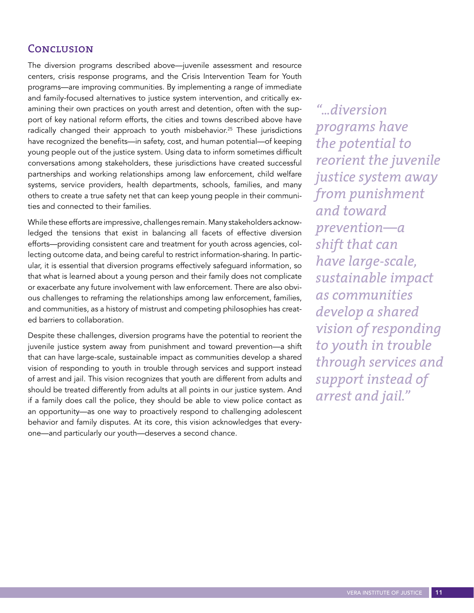# Conclusion

The diversion programs described above—juvenile assessment and resource centers, crisis response programs, and the Crisis Intervention Team for Youth programs—are improving communities. By implementing a range of immediate and family-focused alternatives to justice system intervention, and critically examining their own practices on youth arrest and detention, often with the support of key national reform efforts, the cities and towns described above have radically changed their approach to youth misbehavior.<sup>25</sup> These jurisdictions have recognized the benefits—in safety, cost, and human potential—of keeping young people out of the justice system. Using data to inform sometimes difficult conversations among stakeholders, these jurisdictions have created successful partnerships and working relationships among law enforcement, child welfare systems, service providers, health departments, schools, families, and many others to create a true safety net that can keep young people in their communities and connected to their families.

While these efforts are impressive, challenges remain. Many stakeholders acknowledged the tensions that exist in balancing all facets of effective diversion efforts—providing consistent care and treatment for youth across agencies, collecting outcome data, and being careful to restrict information-sharing. In particular, it is essential that diversion programs effectively safeguard information, so that what is learned about a young person and their family does not complicate or exacerbate any future involvement with law enforcement. There are also obvious challenges to reframing the relationships among law enforcement, families, and communities, as a history of mistrust and competing philosophies has created barriers to collaboration.

Despite these challenges, diversion programs have the potential to reorient the juvenile justice system away from punishment and toward prevention—a shift that can have large-scale, sustainable impact as communities develop a shared vision of responding to youth in trouble through services and support instead of arrest and jail. This vision recognizes that youth are different from adults and should be treated differently from adults at all points in our justice system. And if a family does call the police, they should be able to view police contact as an opportunity—as one way to proactively respond to challenging adolescent behavior and family disputes. At its core, this vision acknowledges that everyone—and particularly our youth—deserves a second chance.

*"...diversion programs have the potential to reorient the juvenile justice system away from punishment and toward prevention—a shift that can have large-scale, sustainable impact as communities develop a shared vision of responding to youth in trouble through services and support instead of arrest and jail."*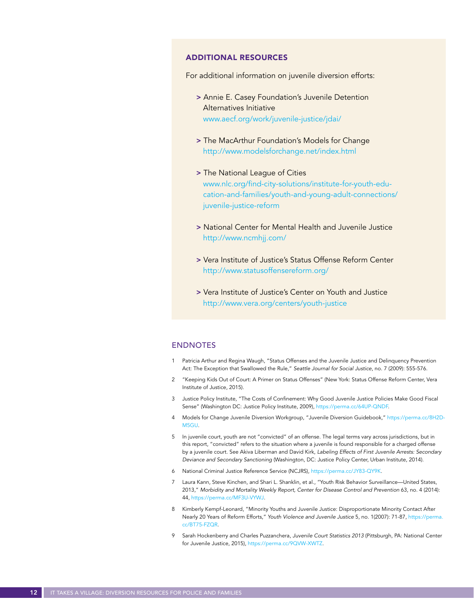#### ADDITIONAL RESOURCES

For additional information on juvenile diversion efforts:

- > Annie E. Casey Foundation's Juvenile Detention Alternatives Initiative <www.aecf.org/work/juvenile-justice/jdai/>
- > The MacArthur Foundation's Models for Change <http://www.modelsforchange.net/index.html>
- > The National League of Cities [www.nlc.org/find-city-solutions/institute-for-youth-edu](www.nlc.org/find-city-solutions/institute-for-youth-education-and-families/youth-and-young-adult-connections/juvenile-justice-reform)[cation-and-families/youth-and-young-adult-connections/](www.nlc.org/find-city-solutions/institute-for-youth-education-and-families/youth-and-young-adult-connections/juvenile-justice-reform) [juvenile-justice-reform](www.nlc.org/find-city-solutions/institute-for-youth-education-and-families/youth-and-young-adult-connections/juvenile-justice-reform)
- > National Center for Mental Health and Juvenile Justice <http://www.ncmhjj.com/>
- > Vera Institute of Justice's Status Offense Reform Center <http://www.statusoffensereform.org/>
- > Vera Institute of Justice's Center on Youth and Justice <http://www.vera.org/centers/youth-justice>

#### ENDNOTES

- 1 Patricia Arthur and Regina Waugh, "Status Offenses and the Juvenile Justice and Delinquency Prevention Act: The Exception that Swallowed the Rule," *Seattle Journal for Social Justice*, no. 7 (2009): 555-576.
- 2 "Keeping Kids Out of Court: A Primer on Status Offenses" (New York: Status Offense Reform Center, Vera Institute of Justice, 2015).
- 3 Justice Policy Institute, "The Costs of Confinement: Why Good Juvenile Justice Policies Make Good Fiscal Sense" (Washington DC: Justice Policy Institute, 2009),<https://perma.cc/64UP-QNDF>.
- 4 Models for Change Juvenile Diversion Workgroup, "Juvenile Diversion Guidebook," [https://perma.cc/8H2D-](https://perma.cc/8H2D-M5GU)[M5GU.](https://perma.cc/8H2D-M5GU)
- 5 In juvenile court, youth are not "convicted" of an offense. The legal terms vary across jurisdictions, but in this report, "convicted" refers to the situation where a juvenile is found responsible for a charged offense by a juvenile court. See Akiva Liberman and David Kirk, *Labeling Effects of First Juvenile Arrests: Secondary Deviance and Secondary Sanctioning* (Washington, DC: Justice Policy Center, Urban Institute, 2014).
- 6 National Criminal Justice Reference Service (NCJRS), <https://perma.cc/JY83-QY9K>.
- 7 Laura Kann, Steve Kinchen, and Shari L. Shanklin, et al., "Youth Risk Behavior Surveillance—United States, 2013," *Morbidity and Mortality Weekly Report, Center for Disease Control and Prevention* 63, no. 4 (2014): 44, https://perma.cc/MF3U-V
- 8 Kimberly Kempf-Leonard, "Minority Youths and Juvenile Justice: Disproportionate Minority Contact After Nearly 20 Years of Reform Efforts," *Youth Violence and Juvenile Justice* 5, no. 1(2007): 71-87, [https://perma.](https://perma.cc/BT75-FZQR) [cc/BT75-FZQR](https://perma.cc/BT75-FZQR).
- 9 Sarah Hockenberry and Charles Puzzanchera, *Juvenile Court Statistics 2013* (Pittsburgh, PA: National Center for Juvenile Justice, 2015), [https://perma.cc/9QVW-XWTZ.](https://perma.cc/9QVW-XWTZ)